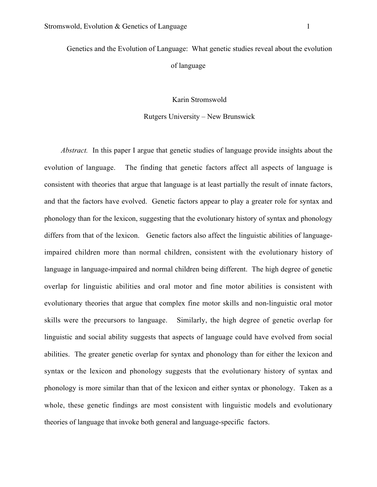Genetics and the Evolution of Language: What genetic studies reveal about the evolution of language

Karin Stromswold

### Rutgers University – New Brunswick

*Abstract.* In this paper I argue that genetic studies of language provide insights about the evolution of language. The finding that genetic factors affect all aspects of language is consistent with theories that argue that language is at least partially the result of innate factors, and that the factors have evolved. Genetic factors appear to play a greater role for syntax and phonology than for the lexicon, suggesting that the evolutionary history of syntax and phonology differs from that of the lexicon. Genetic factors also affect the linguistic abilities of languageimpaired children more than normal children, consistent with the evolutionary history of language in language-impaired and normal children being different. The high degree of genetic overlap for linguistic abilities and oral motor and fine motor abilities is consistent with evolutionary theories that argue that complex fine motor skills and non-linguistic oral motor skills were the precursors to language. Similarly, the high degree of genetic overlap for linguistic and social ability suggests that aspects of language could have evolved from social abilities. The greater genetic overlap for syntax and phonology than for either the lexicon and syntax or the lexicon and phonology suggests that the evolutionary history of syntax and phonology is more similar than that of the lexicon and either syntax or phonology. Taken as a whole, these genetic findings are most consistent with linguistic models and evolutionary theories of language that invoke both general and language-specific factors.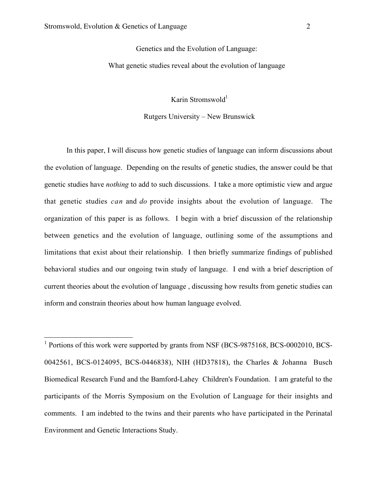Genetics and the Evolution of Language:

What genetic studies reveal about the evolution of language

Karin Stromswold $1$ 

## Rutgers University – New Brunswick

In this paper, I will discuss how genetic studies of language can inform discussions about the evolution of language. Depending on the results of genetic studies, the answer could be that genetic studies have *nothing* to add to such discussions. I take a more optimistic view and argue that genetic studies *can* and *do* provide insights about the evolution of language. The organization of this paper is as follows. I begin with a brief discussion of the relationship between genetics and the evolution of language, outlining some of the assumptions and limitations that exist about their relationship. I then briefly summarize findings of published behavioral studies and our ongoing twin study of language. I end with a brief description of current theories about the evolution of language , discussing how results from genetic studies can inform and constrain theories about how human language evolved.

<sup>1</sup> Portions of this work were supported by grants from NSF (BCS-9875168, BCS-0002010, BCS-0042561, BCS-0124095, BCS-0446838), NIH (HD37818), the Charles & Johanna Busch Biomedical Research Fund and the Bamford-Lahey Children's Foundation. I am grateful to the participants of the Morris Symposium on the Evolution of Language for their insights and comments. I am indebted to the twins and their parents who have participated in the Perinatal Environment and Genetic Interactions Study.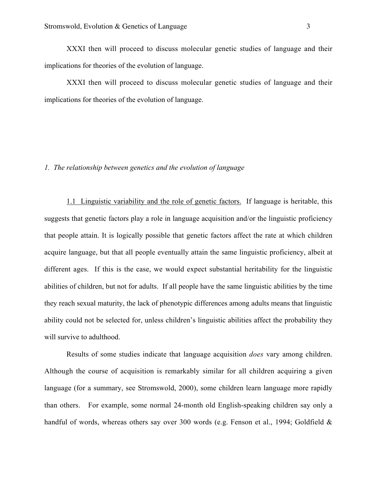XXXI then will proceed to discuss molecular genetic studies of language and their implications for theories of the evolution of language.

XXXI then will proceed to discuss molecular genetic studies of language and their implications for theories of the evolution of language.

### *1. The relationship between genetics and the evolution of language*

1.1 Linguistic variability and the role of genetic factors. If language is heritable, this suggests that genetic factors play a role in language acquisition and/or the linguistic proficiency that people attain. It is logically possible that genetic factors affect the rate at which children acquire language, but that all people eventually attain the same linguistic proficiency, albeit at different ages. If this is the case, we would expect substantial heritability for the linguistic abilities of children, but not for adults. If all people have the same linguistic abilities by the time they reach sexual maturity, the lack of phenotypic differences among adults means that linguistic ability could not be selected for, unless children's linguistic abilities affect the probability they will survive to adulthood.

Results of some studies indicate that language acquisition *does* vary among children. Although the course of acquisition is remarkably similar for all children acquiring a given language (for a summary, see Stromswold, 2000), some children learn language more rapidly than others. For example, some normal 24-month old English-speaking children say only a handful of words, whereas others say over 300 words (e.g. Fenson et al., 1994; Goldfield &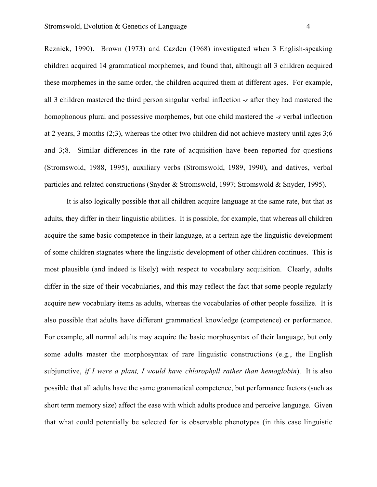Reznick, 1990). Brown (1973) and Cazden (1968) investigated when 3 English-speaking children acquired 14 grammatical morphemes, and found that, although all 3 children acquired these morphemes in the same order, the children acquired them at different ages. For example, all 3 children mastered the third person singular verbal inflection -*s* after they had mastered the homophonous plural and possessive morphemes, but one child mastered the -*s* verbal inflection at 2 years, 3 months (2;3), whereas the other two children did not achieve mastery until ages 3;6 and 3;8. Similar differences in the rate of acquisition have been reported for questions (Stromswold, 1988, 1995), auxiliary verbs (Stromswold, 1989, 1990), and datives, verbal particles and related constructions (Snyder & Stromswold, 1997; Stromswold & Snyder, 1995).

It is also logically possible that all children acquire language at the same rate, but that as adults, they differ in their linguistic abilities. It is possible, for example, that whereas all children acquire the same basic competence in their language, at a certain age the linguistic development of some children stagnates where the linguistic development of other children continues. This is most plausible (and indeed is likely) with respect to vocabulary acquisition. Clearly, adults differ in the size of their vocabularies, and this may reflect the fact that some people regularly acquire new vocabulary items as adults, whereas the vocabularies of other people fossilize. It is also possible that adults have different grammatical knowledge (competence) or performance. For example, all normal adults may acquire the basic morphosyntax of their language, but only some adults master the morphosyntax of rare linguistic constructions (e.g., the English subjunctive, *if I were a plant, I would have chlorophyll rather than hemoglobin*). It is also possible that all adults have the same grammatical competence, but performance factors (such as short term memory size) affect the ease with which adults produce and perceive language. Given that what could potentially be selected for is observable phenotypes (in this case linguistic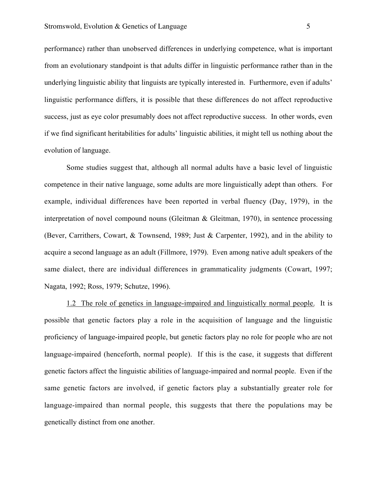performance) rather than unobserved differences in underlying competence, what is important from an evolutionary standpoint is that adults differ in linguistic performance rather than in the underlying linguistic ability that linguists are typically interested in. Furthermore, even if adults' linguistic performance differs, it is possible that these differences do not affect reproductive success, just as eye color presumably does not affect reproductive success. In other words, even if we find significant heritabilities for adults' linguistic abilities, it might tell us nothing about the evolution of language.

Some studies suggest that, although all normal adults have a basic level of linguistic competence in their native language, some adults are more linguistically adept than others. For example, individual differences have been reported in verbal fluency (Day, 1979), in the interpretation of novel compound nouns (Gleitman & Gleitman, 1970), in sentence processing (Bever, Carrithers, Cowart, & Townsend, 1989; Just & Carpenter, 1992), and in the ability to acquire a second language as an adult (Fillmore, 1979). Even among native adult speakers of the same dialect, there are individual differences in grammaticality judgments (Cowart, 1997; Nagata, 1992; Ross, 1979; Schutze, 1996).

1.2 The role of genetics in language-impaired and linguistically normal people. It is possible that genetic factors play a role in the acquisition of language and the linguistic proficiency of language-impaired people, but genetic factors play no role for people who are not language-impaired (henceforth, normal people). If this is the case, it suggests that different genetic factors affect the linguistic abilities of language-impaired and normal people. Even if the same genetic factors are involved, if genetic factors play a substantially greater role for language-impaired than normal people, this suggests that there the populations may be genetically distinct from one another.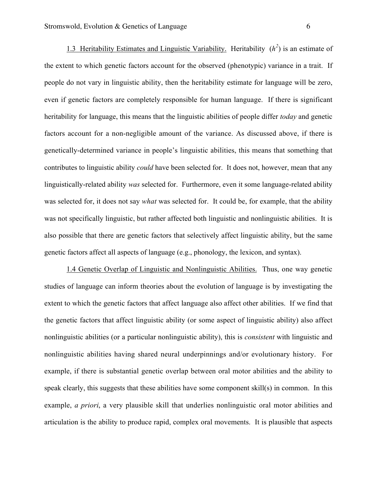1.3 Heritability Estimates and Linguistic Variability. Heritability  $(h^2)$  is an estimate of the extent to which genetic factors account for the observed (phenotypic) variance in a trait. If people do not vary in linguistic ability, then the heritability estimate for language will be zero, even if genetic factors are completely responsible for human language. If there is significant heritability for language, this means that the linguistic abilities of people differ *today* and genetic factors account for a non-negligible amount of the variance. As discussed above, if there is genetically-determined variance in people's linguistic abilities, this means that something that contributes to linguistic ability *could* have been selected for. It does not, however, mean that any linguistically-related ability *was* selected for. Furthermore, even it some language-related ability was selected for, it does not say *what* was selected for. It could be, for example, that the ability was not specifically linguistic, but rather affected both linguistic and nonlinguistic abilities. It is also possible that there are genetic factors that selectively affect linguistic ability, but the same genetic factors affect all aspects of language (e.g., phonology, the lexicon, and syntax).

1.4 Genetic Overlap of Linguistic and Nonlinguistic Abilities. Thus, one way genetic studies of language can inform theories about the evolution of language is by investigating the extent to which the genetic factors that affect language also affect other abilities. If we find that the genetic factors that affect linguistic ability (or some aspect of linguistic ability) also affect nonlinguistic abilities (or a particular nonlinguistic ability), this is *consistent* with linguistic and nonlinguistic abilities having shared neural underpinnings and/or evolutionary history. For example, if there is substantial genetic overlap between oral motor abilities and the ability to speak clearly, this suggests that these abilities have some component skill(s) in common. In this example, *a priori*, a very plausible skill that underlies nonlinguistic oral motor abilities and articulation is the ability to produce rapid, complex oral movements. It is plausible that aspects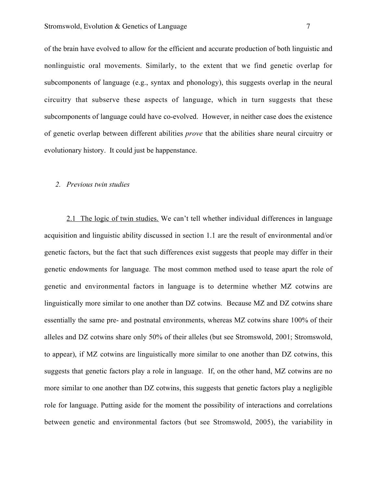of the brain have evolved to allow for the efficient and accurate production of both linguistic and nonlinguistic oral movements. Similarly, to the extent that we find genetic overlap for subcomponents of language (e.g., syntax and phonology), this suggests overlap in the neural circuitry that subserve these aspects of language, which in turn suggests that these subcomponents of language could have co-evolved. However, in neither case does the existence of genetic overlap between different abilities *prove* that the abilities share neural circuitry or evolutionary history. It could just be happenstance.

#### *2. Previous twin studies*

2.1 The logic of twin studies. We can't tell whether individual differences in language acquisition and linguistic ability discussed in section 1.1 are the result of environmental and/or genetic factors, but the fact that such differences exist suggests that people may differ in their genetic endowments for language. The most common method used to tease apart the role of genetic and environmental factors in language is to determine whether MZ cotwins are linguistically more similar to one another than DZ cotwins. Because MZ and DZ cotwins share essentially the same pre- and postnatal environments, whereas MZ cotwins share 100% of their alleles and DZ cotwins share only 50% of their alleles (but see Stromswold, 2001; Stromswold, to appear), if MZ cotwins are linguistically more similar to one another than DZ cotwins, this suggests that genetic factors play a role in language. If, on the other hand, MZ cotwins are no more similar to one another than DZ cotwins, this suggests that genetic factors play a negligible role for language. Putting aside for the moment the possibility of interactions and correlations between genetic and environmental factors (but see Stromswold, 2005), the variability in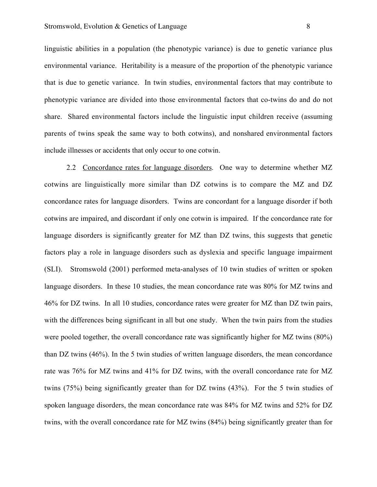linguistic abilities in a population (the phenotypic variance) is due to genetic variance plus environmental variance. Heritability is a measure of the proportion of the phenotypic variance that is due to genetic variance. In twin studies, environmental factors that may contribute to phenotypic variance are divided into those environmental factors that co-twins do and do not share. Shared environmental factors include the linguistic input children receive (assuming parents of twins speak the same way to both cotwins), and nonshared environmental factors include illnesses or accidents that only occur to one cotwin.

2.2 Concordance rates for language disorders. One way to determine whether MZ cotwins are linguistically more similar than DZ cotwins is to compare the MZ and DZ concordance rates for language disorders. Twins are concordant for a language disorder if both cotwins are impaired, and discordant if only one cotwin is impaired. If the concordance rate for language disorders is significantly greater for MZ than DZ twins, this suggests that genetic factors play a role in language disorders such as dyslexia and specific language impairment (SLI). Stromswold (2001) performed meta-analyses of 10 twin studies of written or spoken language disorders. In these 10 studies, the mean concordance rate was 80% for MZ twins and 46% for DZ twins. In all 10 studies, concordance rates were greater for MZ than DZ twin pairs, with the differences being significant in all but one study. When the twin pairs from the studies were pooled together, the overall concordance rate was significantly higher for MZ twins (80%) than DZ twins (46%). In the 5 twin studies of written language disorders, the mean concordance rate was 76% for MZ twins and 41% for DZ twins, with the overall concordance rate for MZ twins (75%) being significantly greater than for DZ twins (43%). For the 5 twin studies of spoken language disorders, the mean concordance rate was 84% for MZ twins and 52% for DZ twins, with the overall concordance rate for MZ twins (84%) being significantly greater than for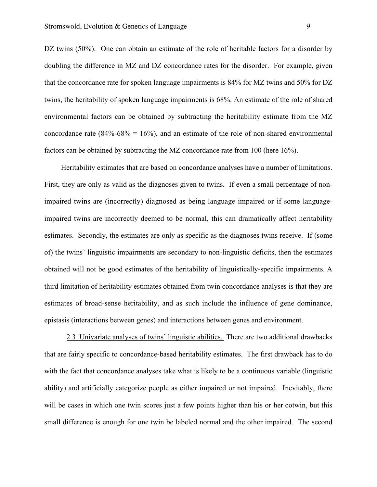DZ twins (50%). One can obtain an estimate of the role of heritable factors for a disorder by doubling the difference in MZ and DZ concordance rates for the disorder. For example, given that the concordance rate for spoken language impairments is 84% for MZ twins and 50% for DZ twins, the heritability of spoken language impairments is 68%. An estimate of the role of shared environmental factors can be obtained by subtracting the heritability estimate from the MZ concordance rate  $(84\% - 68\% = 16\%)$ , and an estimate of the role of non-shared environmental factors can be obtained by subtracting the MZ concordance rate from 100 (here 16%).

Heritability estimates that are based on concordance analyses have a number of limitations. First, they are only as valid as the diagnoses given to twins. If even a small percentage of nonimpaired twins are (incorrectly) diagnosed as being language impaired or if some languageimpaired twins are incorrectly deemed to be normal, this can dramatically affect heritability estimates. Secondly, the estimates are only as specific as the diagnoses twins receive. If (some of) the twins' linguistic impairments are secondary to non-linguistic deficits, then the estimates obtained will not be good estimates of the heritability of linguistically-specific impairments. A third limitation of heritability estimates obtained from twin concordance analyses is that they are estimates of broad-sense heritability, and as such include the influence of gene dominance, epistasis (interactions between genes) and interactions between genes and environment.

2.3 Univariate analyses of twins' linguistic abilities. There are two additional drawbacks that are fairly specific to concordance-based heritability estimates. The first drawback has to do with the fact that concordance analyses take what is likely to be a continuous variable (linguistic ability) and artificially categorize people as either impaired or not impaired. Inevitably, there will be cases in which one twin scores just a few points higher than his or her cotwin, but this small difference is enough for one twin be labeled normal and the other impaired. The second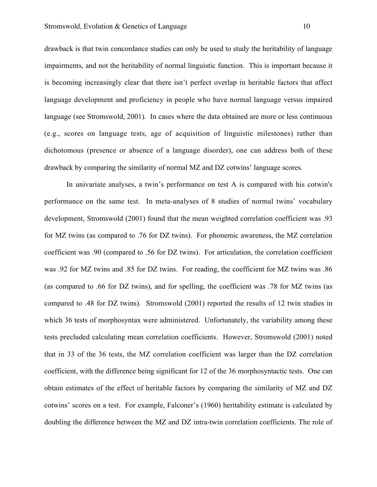drawback is that twin concordance studies can only be used to study the heritability of language impairments, and not the heritability of normal linguistic function. This is important because it is becoming increasingly clear that there isn't perfect overlap in heritable factors that affect language development and proficiency in people who have normal language versus impaired language (see Stromswold, 2001). In cases where the data obtained are more or less continuous (e.g., scores on language tests, age of acquisition of linguistic milestones) rather than dichotomous (presence or absence of a language disorder), one can address both of these drawback by comparing the similarity of normal MZ and DZ cotwins' language scores.

In univariate analyses, a twin's performance on test A is compared with his cotwin's performance on the same test. In meta-analyses of 8 studies of normal twins' vocabulary development, Stromswold (2001) found that the mean weighted correlation coefficient was .93 for MZ twins (as compared to .76 for DZ twins). For phonemic awareness, the MZ correlation coefficient was .90 (compared to .56 for DZ twins). For articulation, the correlation coefficient was .92 for MZ twins and .85 for DZ twins. For reading, the coefficient for MZ twins was .86 (as compared to .66 for DZ twins), and for spelling, the coefficient was .78 for MZ twins (as compared to .48 for DZ twins). Stromswold (2001) reported the results of 12 twin studies in which 36 tests of morphosyntax were administered. Unfortunately, the variability among these tests precluded calculating mean correlation coefficients. However, Stromswold (2001) noted that in 33 of the 36 tests, the MZ correlation coefficient was larger than the DZ correlation coefficient, with the difference being significant for 12 of the 36 morphosyntactic tests. One can obtain estimates of the effect of heritable factors by comparing the similarity of MZ and DZ cotwins' scores on a test. For example, Falconer's (1960) heritability estimate is calculated by doubling the difference between the MZ and DZ intra-twin correlation coefficients. The role of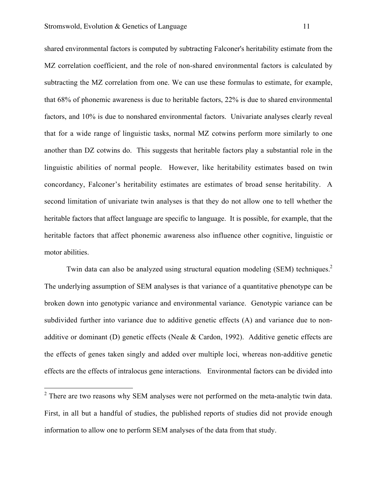shared environmental factors is computed by subtracting Falconer's heritability estimate from the MZ correlation coefficient, and the role of non-shared environmental factors is calculated by subtracting the MZ correlation from one. We can use these formulas to estimate, for example, that 68% of phonemic awareness is due to heritable factors, 22% is due to shared environmental factors, and 10% is due to nonshared environmental factors. Univariate analyses clearly reveal that for a wide range of linguistic tasks, normal MZ cotwins perform more similarly to one another than DZ cotwins do. This suggests that heritable factors play a substantial role in the linguistic abilities of normal people. However, like heritability estimates based on twin concordancy, Falconer's heritability estimates are estimates of broad sense heritability. A second limitation of univariate twin analyses is that they do not allow one to tell whether the heritable factors that affect language are specific to language. It is possible, for example, that the heritable factors that affect phonemic awareness also influence other cognitive, linguistic or motor abilities.

Twin data can also be analyzed using structural equation modeling (SEM) techniques.<sup>2</sup> The underlying assumption of SEM analyses is that variance of a quantitative phenotype can be broken down into genotypic variance and environmental variance. Genotypic variance can be subdivided further into variance due to additive genetic effects (A) and variance due to nonadditive or dominant (D) genetic effects (Neale & Cardon, 1992). Additive genetic effects are the effects of genes taken singly and added over multiple loci, whereas non-additive genetic effects are the effects of intralocus gene interactions. Environmental factors can be divided into

 $2$  There are two reasons why SEM analyses were not performed on the meta-analytic twin data. First, in all but a handful of studies, the published reports of studies did not provide enough information to allow one to perform SEM analyses of the data from that study.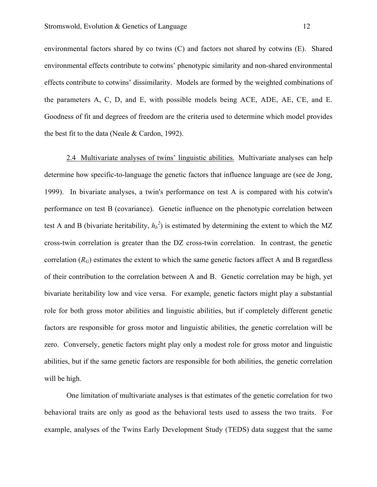environmental factors shared by co twins (C) and factors not shared by cotwins (E). Shared environmental effects contribute to cotwins' phenotypic similarity and non-shared environmental effects contribute to cotwins' dissimilarity. Models are formed by the weighted combinations of the parameters A, C, D, and E, with possible models being ACE, ADE, AE, CE, and E. Goodness of fit and degrees of freedom are the criteria used to determine which model provides the best fit to the data (Neale & Cardon, 1992).

2.4 Multivariate analyses of twins' linguistic abilities. Multivariate analyses can help determine how specific-to-language the genetic factors that influence language are (see de Jong, 1999). In bivariate analyses, a twin's performance on test A is compared with his cotwin's performance on test B (covariance). Genetic influence on the phenotypic correlation between test A and B (bivariate heritability,  $h_b^2$ ) is estimated by determining the extent to which the MZ cross-twin correlation is greater than the DZ cross-twin correlation. In contrast, the genetic correlation  $(R_G)$  estimates the extent to which the same genetic factors affect A and B regardless of their contribution to the correlation between A and B. Genetic correlation may be high, yet bivariate heritability low and vice versa. For example, genetic factors might play a substantial role for both gross motor abilities and linguistic abilities, but if completely different genetic factors are responsible for gross motor and linguistic abilities, the genetic correlation will be zero. Conversely, genetic factors might play only a modest role for gross motor and linguistic abilities, but if the same genetic factors are responsible for both abilities, the genetic correlation will be high.

One limitation of multivariate analyses is that estimates of the genetic correlation for two behavioral traits are only as good as the behavioral tests used to assess the two traits. For example, analyses of the Twins Early Development Study (TEDS) data suggest that the same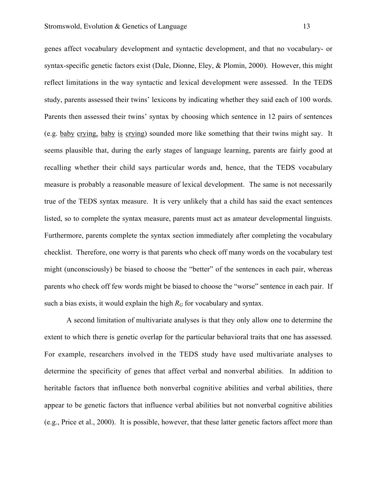genes affect vocabulary development and syntactic development, and that no vocabulary- or syntax-specific genetic factors exist (Dale, Dionne, Eley, & Plomin, 2000). However, this might reflect limitations in the way syntactic and lexical development were assessed. In the TEDS study, parents assessed their twins' lexicons by indicating whether they said each of 100 words. Parents then assessed their twins' syntax by choosing which sentence in 12 pairs of sentences (e.g. baby crying, baby is crying) sounded more like something that their twins might say. It seems plausible that, during the early stages of language learning, parents are fairly good at recalling whether their child says particular words and, hence, that the TEDS vocabulary measure is probably a reasonable measure of lexical development. The same is not necessarily true of the TEDS syntax measure. It is very unlikely that a child has said the exact sentences listed, so to complete the syntax measure, parents must act as amateur developmental linguists. Furthermore, parents complete the syntax section immediately after completing the vocabulary checklist. Therefore, one worry is that parents who check off many words on the vocabulary test might (unconsciously) be biased to choose the "better" of the sentences in each pair, whereas parents who check off few words might be biased to choose the "worse" sentence in each pair. If such a bias exists, it would explain the high  $R_G$  for vocabulary and syntax.

A second limitation of multivariate analyses is that they only allow one to determine the extent to which there is genetic overlap for the particular behavioral traits that one has assessed. For example, researchers involved in the TEDS study have used multivariate analyses to determine the specificity of genes that affect verbal and nonverbal abilities. In addition to heritable factors that influence both nonverbal cognitive abilities and verbal abilities, there appear to be genetic factors that influence verbal abilities but not nonverbal cognitive abilities (e.g., Price et al., 2000). It is possible, however, that these latter genetic factors affect more than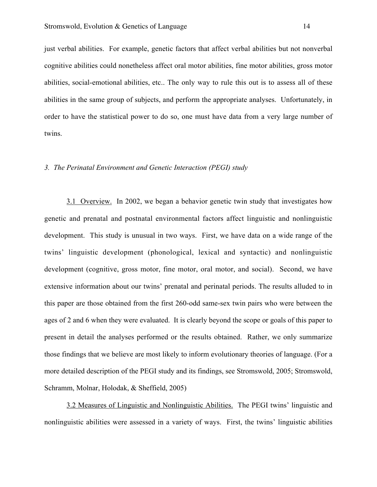just verbal abilities. For example, genetic factors that affect verbal abilities but not nonverbal cognitive abilities could nonetheless affect oral motor abilities, fine motor abilities, gross motor abilities, social-emotional abilities, etc.. The only way to rule this out is to assess all of these abilities in the same group of subjects, and perform the appropriate analyses. Unfortunately, in order to have the statistical power to do so, one must have data from a very large number of twins.

### *3. The Perinatal Environment and Genetic Interaction (PEGI) study*

3.1 Overview. In 2002, we began a behavior genetic twin study that investigates how genetic and prenatal and postnatal environmental factors affect linguistic and nonlinguistic development. This study is unusual in two ways. First, we have data on a wide range of the twins' linguistic development (phonological, lexical and syntactic) and nonlinguistic development (cognitive, gross motor, fine motor, oral motor, and social). Second, we have extensive information about our twins' prenatal and perinatal periods. The results alluded to in this paper are those obtained from the first 260-odd same-sex twin pairs who were between the ages of 2 and 6 when they were evaluated. It is clearly beyond the scope or goals of this paper to present in detail the analyses performed or the results obtained. Rather, we only summarize those findings that we believe are most likely to inform evolutionary theories of language. (For a more detailed description of the PEGI study and its findings, see Stromswold, 2005; Stromswold, Schramm, Molnar, Holodak, & Sheffield, 2005)

3.2 Measures of Linguistic and Nonlinguistic Abilities. The PEGI twins' linguistic and nonlinguistic abilities were assessed in a variety of ways. First, the twins' linguistic abilities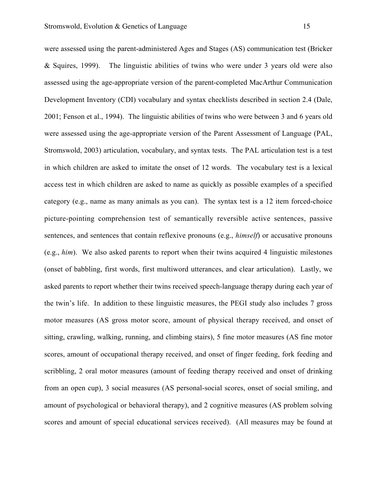were assessed using the parent-administered Ages and Stages (AS) communication test (Bricker & Squires, 1999). The linguistic abilities of twins who were under 3 years old were also assessed using the age-appropriate version of the parent-completed MacArthur Communication Development Inventory (CDI) vocabulary and syntax checklists described in section 2.4 (Dale, 2001; Fenson et al., 1994). The linguistic abilities of twins who were between 3 and 6 years old were assessed using the age-appropriate version of the Parent Assessment of Language (PAL, Stromswold, 2003) articulation, vocabulary, and syntax tests. The PAL articulation test is a test in which children are asked to imitate the onset of 12 words. The vocabulary test is a lexical access test in which children are asked to name as quickly as possible examples of a specified category (e.g., name as many animals as you can). The syntax test is a 12 item forced-choice picture-pointing comprehension test of semantically reversible active sentences, passive sentences, and sentences that contain reflexive pronouns (e.g., *himself*) or accusative pronouns (e.g., *him*). We also asked parents to report when their twins acquired 4 linguistic milestones (onset of babbling, first words, first multiword utterances, and clear articulation). Lastly, we asked parents to report whether their twins received speech-language therapy during each year of the twin's life. In addition to these linguistic measures, the PEGI study also includes 7 gross motor measures (AS gross motor score, amount of physical therapy received, and onset of sitting, crawling, walking, running, and climbing stairs), 5 fine motor measures (AS fine motor scores, amount of occupational therapy received, and onset of finger feeding, fork feeding and scribbling, 2 oral motor measures (amount of feeding therapy received and onset of drinking from an open cup), 3 social measures (AS personal-social scores, onset of social smiling, and amount of psychological or behavioral therapy), and 2 cognitive measures (AS problem solving

scores and amount of special educational services received). (All measures may be found at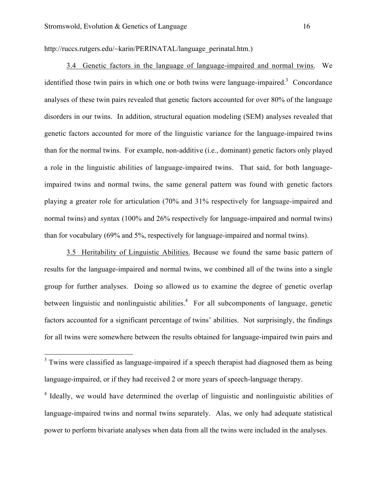http://ruccs.rutgers.edu/~karin/PERINATAL/language\_perinatal.htm.)

3.4 Genetic factors in the language of language-impaired and normal twins. We identified those twin pairs in which one or both twins were language-impaired.<sup>3</sup> Concordance analyses of these twin pairs revealed that genetic factors accounted for over 80% of the language disorders in our twins. In addition, structural equation modeling (SEM) analyses revealed that genetic factors accounted for more of the linguistic variance for the language-impaired twins than for the normal twins. For example, non-additive (i.e., dominant) genetic factors only played a role in the linguistic abilities of language-impaired twins. That said, for both languageimpaired twins and normal twins, the same general pattern was found with genetic factors playing a greater role for articulation (70% and 31% respectively for language-impaired and normal twins) and syntax (100% and 26% respectively for language-impaired and normal twins) than for vocabulary (69% and 5%, respectively for language-impaired and normal twins).

3.5 Heritability of Linguistic Abilities. Because we found the same basic pattern of results for the language-impaired and normal twins, we combined all of the twins into a single group for further analyses. Doing so allowed us to examine the degree of genetic overlap between linguistic and nonlinguistic abilities.<sup>4</sup> For all subcomponents of language, genetic factors accounted for a significant percentage of twins' abilities. Not surprisingly, the findings for all twins were somewhere between the results obtained for language-impaired twin pairs and

<sup>&</sup>lt;sup>3</sup> Twins were classified as language-impaired if a speech therapist had diagnosed them as being language-impaired, or if they had received 2 or more years of speech-language therapy.

<sup>&</sup>lt;sup>4</sup> Ideally, we would have determined the overlap of linguistic and nonlinguistic abilities of language-impaired twins and normal twins separately. Alas, we only had adequate statistical power to perform bivariate analyses when data from all the twins were included in the analyses.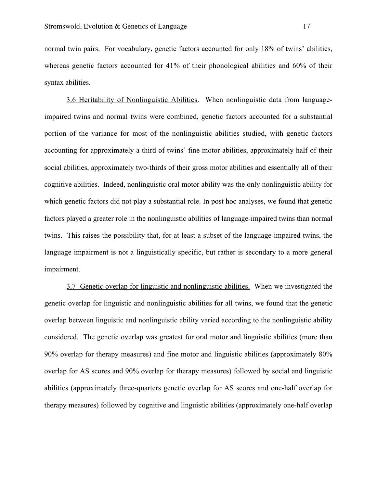normal twin pairs. For vocabulary, genetic factors accounted for only 18% of twins' abilities, whereas genetic factors accounted for 41% of their phonological abilities and 60% of their syntax abilities.

3.6 Heritability of Nonlinguistic Abilities. When nonlinguistic data from languageimpaired twins and normal twins were combined, genetic factors accounted for a substantial portion of the variance for most of the nonlinguistic abilities studied, with genetic factors accounting for approximately a third of twins' fine motor abilities, approximately half of their social abilities, approximately two-thirds of their gross motor abilities and essentially all of their cognitive abilities. Indeed, nonlinguistic oral motor ability was the only nonlinguistic ability for which genetic factors did not play a substantial role. In post hoc analyses, we found that genetic factors played a greater role in the nonlinguistic abilities of language-impaired twins than normal twins. This raises the possibility that, for at least a subset of the language-impaired twins, the language impairment is not a linguistically specific, but rather is secondary to a more general impairment.

3.7 Genetic overlap for linguistic and nonlinguistic abilities. When we investigated the genetic overlap for linguistic and nonlinguistic abilities for all twins, we found that the genetic overlap between linguistic and nonlinguistic ability varied according to the nonlinguistic ability considered. The genetic overlap was greatest for oral motor and linguistic abilities (more than 90% overlap for therapy measures) and fine motor and linguistic abilities (approximately 80% overlap for AS scores and 90% overlap for therapy measures) followed by social and linguistic abilities (approximately three-quarters genetic overlap for AS scores and one-half overlap for therapy measures) followed by cognitive and linguistic abilities (approximately one-half overlap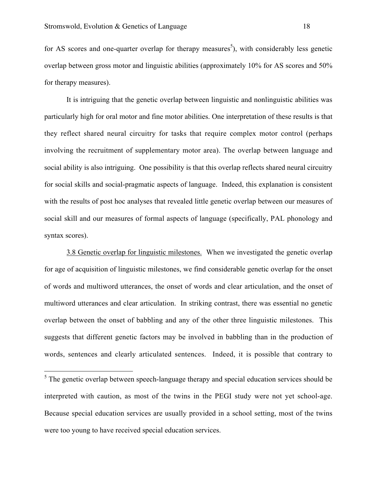for AS scores and one-quarter overlap for therapy measures<sup>5</sup>), with considerably less genetic overlap between gross motor and linguistic abilities (approximately 10% for AS scores and 50% for therapy measures).

It is intriguing that the genetic overlap between linguistic and nonlinguistic abilities was particularly high for oral motor and fine motor abilities. One interpretation of these results is that they reflect shared neural circuitry for tasks that require complex motor control (perhaps involving the recruitment of supplementary motor area). The overlap between language and social ability is also intriguing. One possibility is that this overlap reflects shared neural circuitry for social skills and social-pragmatic aspects of language. Indeed, this explanation is consistent with the results of post hoc analyses that revealed little genetic overlap between our measures of social skill and our measures of formal aspects of language (specifically, PAL phonology and syntax scores).

3.8 Genetic overlap for linguistic milestones. When we investigated the genetic overlap for age of acquisition of linguistic milestones, we find considerable genetic overlap for the onset of words and multiword utterances, the onset of words and clear articulation, and the onset of multiword utterances and clear articulation. In striking contrast, there was essential no genetic overlap between the onset of babbling and any of the other three linguistic milestones. This suggests that different genetic factors may be involved in babbling than in the production of words, sentences and clearly articulated sentences. Indeed, it is possible that contrary to

 $<sup>5</sup>$  The genetic overlap between speech-language therapy and special education services should be</sup> interpreted with caution, as most of the twins in the PEGI study were not yet school-age. Because special education services are usually provided in a school setting, most of the twins were too young to have received special education services.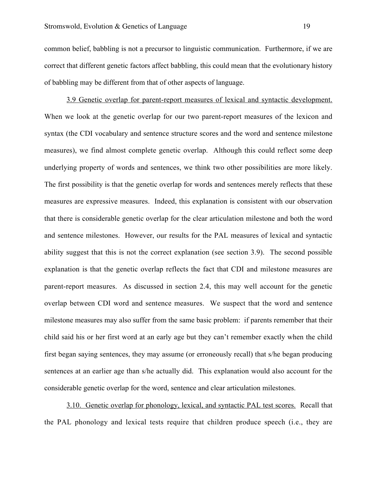common belief, babbling is not a precursor to linguistic communication. Furthermore, if we are correct that different genetic factors affect babbling, this could mean that the evolutionary history of babbling may be different from that of other aspects of language.

3.9 Genetic overlap for parent-report measures of lexical and syntactic development. When we look at the genetic overlap for our two parent-report measures of the lexicon and syntax (the CDI vocabulary and sentence structure scores and the word and sentence milestone measures), we find almost complete genetic overlap. Although this could reflect some deep underlying property of words and sentences, we think two other possibilities are more likely. The first possibility is that the genetic overlap for words and sentences merely reflects that these measures are expressive measures. Indeed, this explanation is consistent with our observation that there is considerable genetic overlap for the clear articulation milestone and both the word and sentence milestones. However, our results for the PAL measures of lexical and syntactic ability suggest that this is not the correct explanation (see section 3.9). The second possible explanation is that the genetic overlap reflects the fact that CDI and milestone measures are parent-report measures. As discussed in section 2.4, this may well account for the genetic overlap between CDI word and sentence measures. We suspect that the word and sentence milestone measures may also suffer from the same basic problem: if parents remember that their child said his or her first word at an early age but they can't remember exactly when the child first began saying sentences, they may assume (or erroneously recall) that s/he began producing sentences at an earlier age than s/he actually did. This explanation would also account for the considerable genetic overlap for the word, sentence and clear articulation milestones.

3.10. Genetic overlap for phonology, lexical, and syntactic PAL test scores. Recall that the PAL phonology and lexical tests require that children produce speech (i.e., they are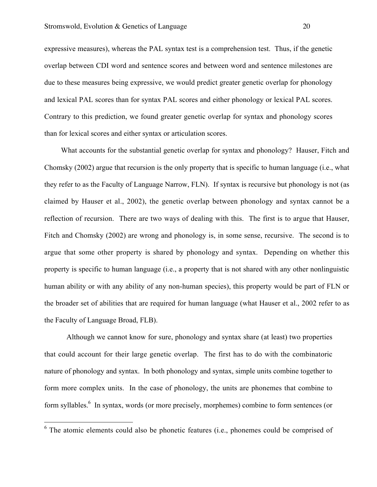expressive measures), whereas the PAL syntax test is a comprehension test. Thus, if the genetic overlap between CDI word and sentence scores and between word and sentence milestones are due to these measures being expressive, we would predict greater genetic overlap for phonology and lexical PAL scores than for syntax PAL scores and either phonology or lexical PAL scores. Contrary to this prediction, we found greater genetic overlap for syntax and phonology scores than for lexical scores and either syntax or articulation scores.

What accounts for the substantial genetic overlap for syntax and phonology? Hauser, Fitch and Chomsky (2002) argue that recursion is the only property that is specific to human language (i.e., what they refer to as the Faculty of Language Narrow, FLN). If syntax is recursive but phonology is not (as claimed by Hauser et al., 2002), the genetic overlap between phonology and syntax cannot be a reflection of recursion. There are two ways of dealing with this. The first is to argue that Hauser, Fitch and Chomsky (2002) are wrong and phonology is, in some sense, recursive. The second is to argue that some other property is shared by phonology and syntax. Depending on whether this property is specific to human language (i.e., a property that is not shared with any other nonlinguistic human ability or with any ability of any non-human species), this property would be part of FLN or the broader set of abilities that are required for human language (what Hauser et al., 2002 refer to as the Faculty of Language Broad, FLB).

Although we cannot know for sure, phonology and syntax share (at least) two properties that could account for their large genetic overlap. The first has to do with the combinatoric nature of phonology and syntax. In both phonology and syntax, simple units combine together to form more complex units. In the case of phonology, the units are phonemes that combine to form syllables.<sup>6</sup> In syntax, words (or more precisely, morphemes) combine to form sentences (or

 $6$  The atomic elements could also be phonetic features (i.e., phonemes could be comprised of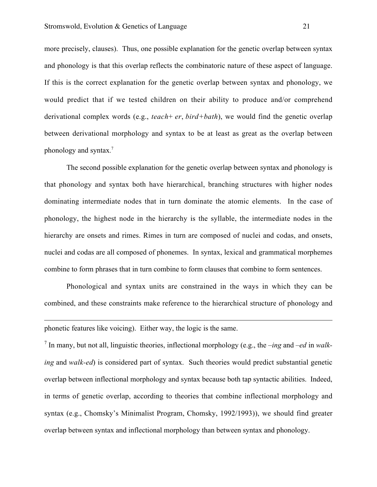more precisely, clauses). Thus, one possible explanation for the genetic overlap between syntax and phonology is that this overlap reflects the combinatoric nature of these aspect of language. If this is the correct explanation for the genetic overlap between syntax and phonology, we would predict that if we tested children on their ability to produce and/or comprehend derivational complex words (e.g., *teach*+ *er*, *bird+bath*), we would find the genetic overlap between derivational morphology and syntax to be at least as great as the overlap between phonology and syntax. 7

The second possible explanation for the genetic overlap between syntax and phonology is that phonology and syntax both have hierarchical, branching structures with higher nodes dominating intermediate nodes that in turn dominate the atomic elements. In the case of phonology, the highest node in the hierarchy is the syllable, the intermediate nodes in the hierarchy are onsets and rimes. Rimes in turn are composed of nuclei and codas, and onsets, nuclei and codas are all composed of phonemes. In syntax, lexical and grammatical morphemes combine to form phrases that in turn combine to form clauses that combine to form sentences.

Phonological and syntax units are constrained in the ways in which they can be combined, and these constraints make reference to the hierarchical structure of phonology and

phonetic features like voicing). Either way, the logic is the same.

 $\overline{a}$ 

<sup>7</sup> In many, but not all, linguistic theories, inflectional morphology (e.g., the *–ing* and *–ed* in *walking* and *walk-ed*) is considered part of syntax. Such theories would predict substantial genetic overlap between inflectional morphology and syntax because both tap syntactic abilities. Indeed, in terms of genetic overlap, according to theories that combine inflectional morphology and syntax (e.g., Chomsky's Minimalist Program, Chomsky, 1992/1993)), we should find greater overlap between syntax and inflectional morphology than between syntax and phonology.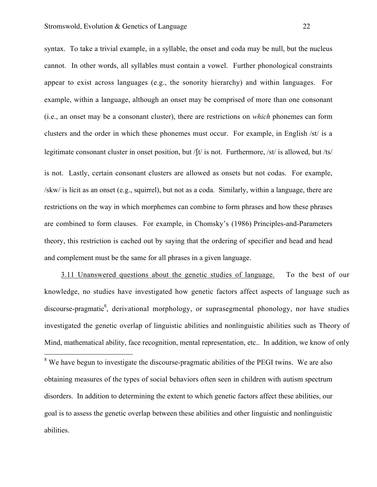syntax. To take a trivial example, in a syllable, the onset and coda may be null, but the nucleus cannot. In other words, all syllables must contain a vowel. Further phonological constraints appear to exist across languages (e.g., the sonority hierarchy) and within languages. For example, within a language, although an onset may be comprised of more than one consonant (i.e., an onset may be a consonant cluster), there are restrictions on *which* phonemes can form clusters and the order in which these phonemes must occur. For example, in English /st/ is a legitimate consonant cluster in onset position, but /tv is not. Furthermore, /st/ is allowed, but /ts/ is not. Lastly, certain consonant clusters are allowed as onsets but not codas. For example, /skw/ is licit as an onset (e.g., squirrel), but not as a coda. Similarly, within a language, there are restrictions on the way in which morphemes can combine to form phrases and how these phrases are combined to form clauses. For example, in Chomsky's (1986) Principles-and-Parameters theory, this restriction is cached out by saying that the ordering of specifier and head and head and complement must be the same for all phrases in a given language.

3.11 Unanswered questions about the genetic studies of language. To the best of our knowledge, no studies have investigated how genetic factors affect aspects of language such as discourse-pragmatic<sup>8</sup>, derivational morphology, or suprasegmental phonology, nor have studies investigated the genetic overlap of linguistic abilities and nonlinguistic abilities such as Theory of Mind, mathematical ability, face recognition, mental representation, etc.. In addition, we know of only

<sup>8</sup> We have begun to investigate the discourse-pragmatic abilities of the PEGI twins. We are also obtaining measures of the types of social behaviors often seen in children with autism spectrum disorders. In addition to determining the extent to which genetic factors affect these abilities, our goal is to assess the genetic overlap between these abilities and other linguistic and nonlinguistic abilities.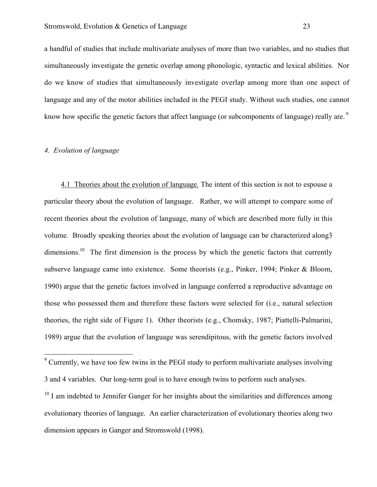a handful of studies that include multivariate analyses of more than two variables, and no studies that simultaneously investigate the genetic overlap among phonologic, syntactic and lexical abilities. Nor do we know of studies that simultaneously investigate overlap among more than one aspect of language and any of the motor abilities included in the PEGI study. Without such studies, one cannot know how specific the genetic factors that affect language (or subcomponents of language) really are.<sup>9</sup>

# *4. Evolution of language*

4.1 Theories about the evolution of language. The intent of this section is not to espouse a particular theory about the evolution of language. Rather, we will attempt to compare some of recent theories about the evolution of language, many of which are described more fully in this volume. Broadly speaking theories about the evolution of language can be characterized along3 dimensions.<sup>10</sup> The first dimension is the process by which the genetic factors that currently subserve language came into existence. Some theorists (e.g., Pinker, 1994; Pinker & Bloom, 1990) argue that the genetic factors involved in language conferred a reproductive advantage on those who possessed them and therefore these factors were selected for (i.e., natural selection theories, the right side of Figure 1). Other theorists (e.g., Chomsky, 1987; Piattelli-Palmarini, 1989) argue that the evolution of language was serendipitous, with the genetic factors involved

<sup>&</sup>lt;sup>9</sup> Currently, we have too few twins in the PEGI study to perform multivariate analyses involving 3 and 4 variables. Our long-term goal is to have enough twins to perform such analyses.

 $10$  I am indebted to Jennifer Ganger for her insights about the similarities and differences among evolutionary theories of language. An earlier characterization of evolutionary theories along two dimension appears in Ganger and Stromswold (1998).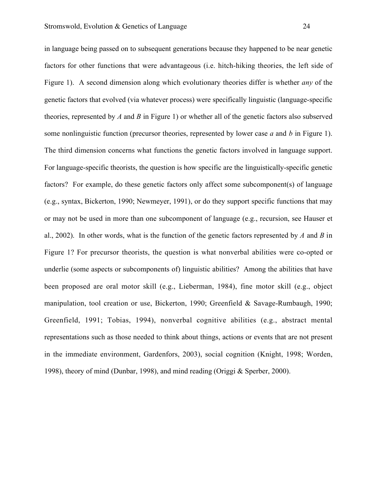in language being passed on to subsequent generations because they happened to be near genetic factors for other functions that were advantageous (i.e. hitch-hiking theories, the left side of Figure 1). A second dimension along which evolutionary theories differ is whether *any* of the genetic factors that evolved (via whatever process) were specifically linguistic (language-specific theories, represented by *A* and *B* in Figure 1) or whether all of the genetic factors also subserved some nonlinguistic function (precursor theories, represented by lower case *a* and *b* in Figure 1). The third dimension concerns what functions the genetic factors involved in language support. For language-specific theorists, the question is how specific are the linguistically-specific genetic factors? For example, do these genetic factors only affect some subcomponent(s) of language (e.g., syntax, Bickerton, 1990; Newmeyer, 1991), or do they support specific functions that may or may not be used in more than one subcomponent of language (e.g., recursion, see Hauser et al., 2002). In other words, what is the function of the genetic factors represented by *A* and *B* in Figure 1? For precursor theorists, the question is what nonverbal abilities were co-opted or underlie (some aspects or subcomponents of) linguistic abilities? Among the abilities that have been proposed are oral motor skill (e.g., Lieberman, 1984), fine motor skill (e.g., object manipulation, tool creation or use, Bickerton, 1990; Greenfield & Savage-Rumbaugh, 1990; Greenfield, 1991; Tobias, 1994), nonverbal cognitive abilities (e.g., abstract mental representations such as those needed to think about things, actions or events that are not present in the immediate environment, Gardenfors, 2003), social cognition (Knight, 1998; Worden, 1998), theory of mind (Dunbar, 1998), and mind reading (Origgi & Sperber, 2000).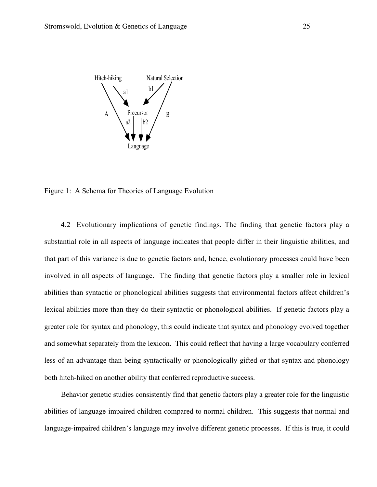

Figure 1: A Schema for Theories of Language Evolution

4.2 Evolutionary implications of genetic findings. The finding that genetic factors play a substantial role in all aspects of language indicates that people differ in their linguistic abilities, and that part of this variance is due to genetic factors and, hence, evolutionary processes could have been involved in all aspects of language. The finding that genetic factors play a smaller role in lexical abilities than syntactic or phonological abilities suggests that environmental factors affect children's lexical abilities more than they do their syntactic or phonological abilities. If genetic factors play a greater role for syntax and phonology, this could indicate that syntax and phonology evolved together and somewhat separately from the lexicon. This could reflect that having a large vocabulary conferred less of an advantage than being syntactically or phonologically gifted or that syntax and phonology both hitch-hiked on another ability that conferred reproductive success.

Behavior genetic studies consistently find that genetic factors play a greater role for the linguistic abilities of language-impaired children compared to normal children. This suggests that normal and language-impaired children's language may involve different genetic processes. If this is true, it could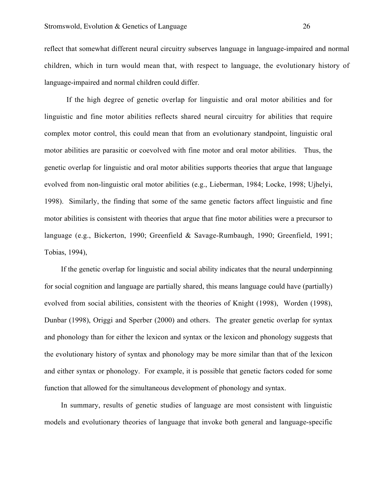reflect that somewhat different neural circuitry subserves language in language-impaired and normal children, which in turn would mean that, with respect to language, the evolutionary history of language-impaired and normal children could differ.

If the high degree of genetic overlap for linguistic and oral motor abilities and for linguistic and fine motor abilities reflects shared neural circuitry for abilities that require complex motor control, this could mean that from an evolutionary standpoint, linguistic oral motor abilities are parasitic or coevolved with fine motor and oral motor abilities. Thus, the genetic overlap for linguistic and oral motor abilities supports theories that argue that language evolved from non-linguistic oral motor abilities (e.g., Lieberman, 1984; Locke, 1998; Ujhelyi, 1998). Similarly, the finding that some of the same genetic factors affect linguistic and fine motor abilities is consistent with theories that argue that fine motor abilities were a precursor to language (e.g., Bickerton, 1990; Greenfield & Savage-Rumbaugh, 1990; Greenfield, 1991; Tobias, 1994),

If the genetic overlap for linguistic and social ability indicates that the neural underpinning for social cognition and language are partially shared, this means language could have (partially) evolved from social abilities, consistent with the theories of Knight (1998), Worden (1998), Dunbar (1998), Origgi and Sperber (2000) and others. The greater genetic overlap for syntax and phonology than for either the lexicon and syntax or the lexicon and phonology suggests that the evolutionary history of syntax and phonology may be more similar than that of the lexicon and either syntax or phonology. For example, it is possible that genetic factors coded for some function that allowed for the simultaneous development of phonology and syntax.

In summary, results of genetic studies of language are most consistent with linguistic models and evolutionary theories of language that invoke both general and language-specific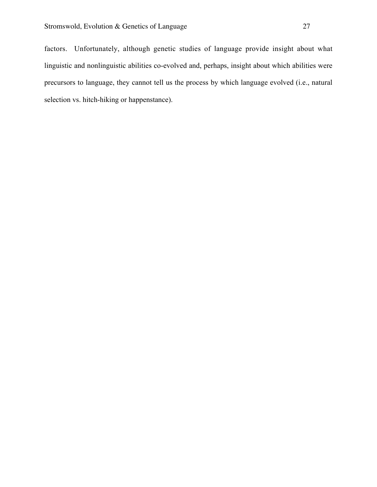factors. Unfortunately, although genetic studies of language provide insight about what linguistic and nonlinguistic abilities co-evolved and, perhaps, insight about which abilities were precursors to language, they cannot tell us the process by which language evolved (i.e., natural selection vs. hitch-hiking or happenstance).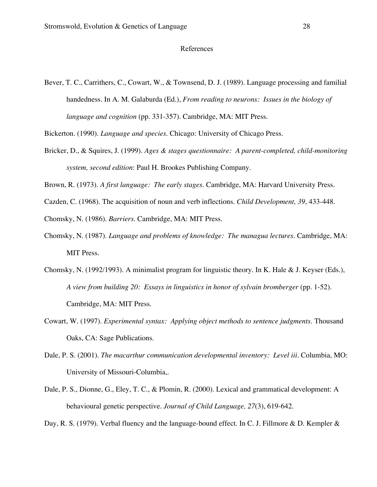### References

Bever, T. C., Carrithers, C., Cowart, W., & Townsend, D. J. (1989). Language processing and familial handedness. In A. M. Galaburda (Ed.), *From reading to neurons: Issues in the biology of language and cognition* (pp. 331-357). Cambridge, MA: MIT Press.

Bickerton. (1990). *Language and species*. Chicago: University of Chicago Press.

- Bricker, D., & Squires, J. (1999). *Ages & stages questionnaire: A parent-completed, child-monitoring system, second edition*: Paul H. Brookes Publishing Company.
- Brown, R. (1973). *A first language: The early stages*. Cambridge, MA: Harvard University Press.
- Cazden, C. (1968). The acquisition of noun and verb inflections. *Child Development, 39*, 433-448.

Chomsky, N. (1986). *Barriers*. Cambridge, MA: MIT Press.

- Chomsky, N. (1987). *Language and problems of knowledge: The managua lectures*. Cambridge, MA: MIT Press.
- Chomsky, N. (1992/1993). A minimalist program for linguistic theory. In K. Hale & J. Keyser (Eds.), *A view from building 20: Essays in linguistics in honor of sylvain bromberger* (pp. 1-52). Cambridge, MA: MIT Press.
- Cowart, W. (1997). *Experimental syntax: Applying object methods to sentence judgments*. Thousand Oaks, CA: Sage Publications.
- Dale, P. S. (2001). *The macarthur communication developmental inventory: Level iii*. Columbia, MO: University of Missouri-Columbia,.
- Dale, P. S., Dionne, G., Eley, T. C., & Plomin, R. (2000). Lexical and grammatical development: A behavioural genetic perspective. *Journal of Child Language, 27*(3), 619-642.

Day, R. S. (1979). Verbal fluency and the language-bound effect. In C. J. Fillmore & D. Kempler &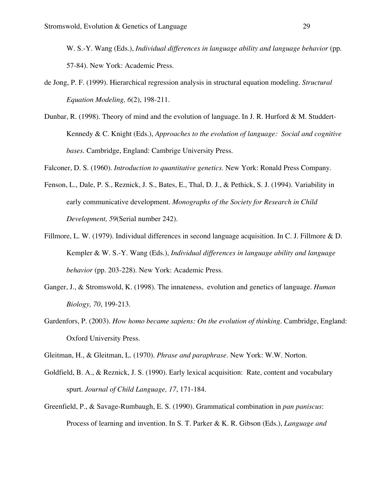W. S.-Y. Wang (Eds.), *Individual differences in language ability and language behavior* (pp. 57-84). New York: Academic Press.

- de Jong, P. F. (1999). Hierarchical regression analysis in structural equation modeling. *Structural Equation Modeling, 6*(2), 198-211.
- Dunbar, R. (1998). Theory of mind and the evolution of language. In J. R. Hurford & M. Studdert-Kennedy & C. Knight (Eds.), *Approaches to the evolution of language: Social and cognitive bases*. Cambridge, England: Cambrige University Press.

Falconer, D. S. (1960). *Introduction to quantitative genetics*. New York: Ronald Press Company.

- Fenson, L., Dale, P. S., Reznick, J. S., Bates, E., Thal, D. J., & Pethick, S. J. (1994). Variability in early communicative development. *Monographs of the Society for Research in Child Development, 59*(Serial number 242).
- Fillmore, L. W. (1979). Individual differences in second language acquisition. In C. J. Fillmore & D. Kempler & W. S.-Y. Wang (Eds.), *Individual differences in language ability and language behavior* (pp. 203-228). New York: Academic Press.
- Ganger, J., & Stromswold, K. (1998). The innateness, evolution and genetics of language. *Human Biology, 70*, 199-213.
- Gardenfors, P. (2003). *How homo became sapiens: On the evolution of thinking*. Cambridge, England: Oxford University Press.

Gleitman, H., & Gleitman, L. (1970). *Phrase and paraphrase*. New York: W.W. Norton.

- Goldfield, B. A., & Reznick, J. S. (1990). Early lexical acquisition: Rate, content and vocabulary spurt. *Journal of Child Language, 17*, 171-184.
- Greenfield, P., & Savage-Rumbaugh, E. S. (1990). Grammatical combination in *pan paniscus*: Process of learning and invention. In S. T. Parker & K. R. Gibson (Eds.), *Language and*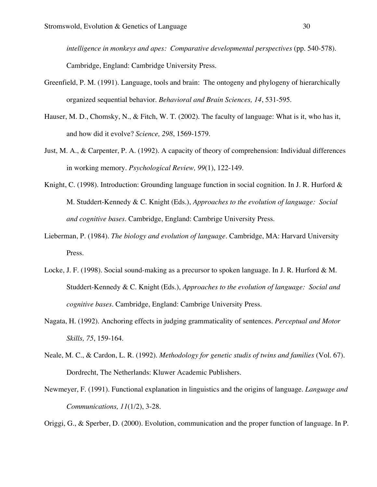*intelligence in monkeys and apes: Comparative developmental perspectives* (pp. 540-578). Cambridge, England: Cambridge University Press.

- Greenfield, P. M. (1991). Language, tools and brain: The ontogeny and phylogeny of hierarchically organized sequential behavior. *Behavioral and Brain Sciences, 14*, 531-595.
- Hauser, M. D., Chomsky, N., & Fitch, W. T. (2002). The faculty of language: What is it, who has it, and how did it evolve? *Science, 298*, 1569-1579.
- Just, M. A., & Carpenter, P. A. (1992). A capacity of theory of comprehension: Individual differences in working memory. *Psychological Review, 99*(1), 122-149.
- Knight, C. (1998). Introduction: Grounding language function in social cognition. In J. R. Hurford & M. Studdert-Kennedy & C. Knight (Eds.), *Approaches to the evolution of language: Social and cognitive bases*. Cambridge, England: Cambrige University Press.
- Lieberman, P. (1984). *The biology and evolution of language*. Cambridge, MA: Harvard University Press.
- Locke, J. F. (1998). Social sound-making as a precursor to spoken language. In J. R. Hurford & M. Studdert-Kennedy & C. Knight (Eds.), *Approaches to the evolution of language: Social and cognitive bases*. Cambridge, England: Cambrige University Press.
- Nagata, H. (1992). Anchoring effects in judging grammaticality of sentences. *Perceptual and Motor Skills, 75*, 159-164.
- Neale, M. C., & Cardon, L. R. (1992). *Methodology for genetic studis of twins and families* (Vol. 67). Dordrecht, The Netherlands: Kluwer Academic Publishers.
- Newmeyer, F. (1991). Functional explanation in linguistics and the origins of language. *Language and Communications, 11*(1/2), 3-28.

Origgi, G., & Sperber, D. (2000). Evolution, communication and the proper function of language. In P.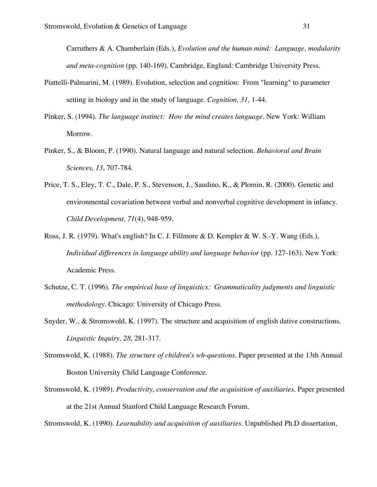Carruthers & A. Chamberlain (Eds.), *Evolution and the human mind: Language, modularity and meta-cognition* (pp. 140-169). Cambridge, England: Cambridge University Press.

- Piattelli-Palmarini, M. (1989). Evolution, selection and cognition: From "learning" to parameter setting in biology and in the study of language. *Cognition, 31*, 1-44.
- Pinker, S. (1994). *The language instinct: How the mind creates language*. New York: William Morrow.
- Pinker, S., & Bloom, P. (1990). Natural language and natural selection. *Behavioral and Brain Sciences, 13*, 707-784.
- Price, T. S., Eley, T. C., Dale, P. S., Stevenson, J., Saudino, K., & Plomin, R. (2000). Genetic and environmental covariation between verbal and nonverbal cognitive development in infancy. *Child Development, 71*(4), 948-959.
- Ross, J. R. (1979). What's english? In C. J. Fillmore & D. Kempler & W. S.-Y. Wang (Eds.), *Individual differences in language ability and language behavior* (pp. 127-163). New York: Academic Press.
- Schutze, C. T. (1996). *The empirical base of linguistics: Grammaticality judgments and linguistic methodology*. Chicago: University of Chicago Press.
- Snyder, W., & Stromswold, K. (1997). The structure and acquisition of english dative constructions. *Linguistic Inquiry, 28*, 281-317.
- Stromswold, K. (1988). *The structure of children's wh-questions.* Paper presented at the 13th Annual Boston University Child Language Conference.
- Stromswold, K. (1989). *Productivity, conservation and the acquisition of auxiliaries.* Paper presented at the 21st Annual Stanford Child Language Research Forum.

Stromswold, K. (1990). *Learnability and acquisition of auxiliaries.* Unpublished Ph.D dissertation,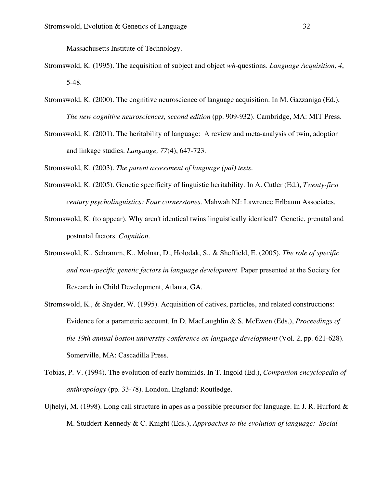Massachusetts Institute of Technology.

- Stromswold, K. (1995). The acquisition of subject and object *wh*-questions. *Language Acquisition, 4*, 5-48.
- Stromswold, K. (2000). The cognitive neuroscience of language acquisition. In M. Gazzaniga (Ed.), *The new cognitive neurosciences, second edition* (pp. 909-932). Cambridge, MA: MIT Press.
- Stromswold, K. (2001). The heritability of language: A review and meta-analysis of twin, adoption and linkage studies. *Language, 77*(4), 647-723.

Stromswold, K. (2003). *The parent assessment of language (pal) tests*.

- Stromswold, K. (2005). Genetic specificity of linguistic heritability. In A. Cutler (Ed.), *Twenty-first century psycholinguistics: Four cornerstones*. Mahwah NJ: Lawrence Erlbaum Associates.
- Stromswold, K. (to appear). Why aren't identical twins linguistically identical? Genetic, prenatal and postnatal factors. *Cognition*.
- Stromswold, K., Schramm, K., Molnar, D., Holodak, S., & Sheffield, E. (2005). *The role of specific and non-specific genetic factors in language development.* Paper presented at the Society for Research in Child Development, Atlanta, GA.
- Stromswold, K., & Snyder, W. (1995). Acquisition of datives, particles, and related constructions: Evidence for a parametric account. In D. MacLaughlin & S. McEwen (Eds.), *Proceedings of the 19th annual boston university conference on language development* (Vol. 2, pp. 621-628). Somerville, MA: Cascadilla Press.
- Tobias, P. V. (1994). The evolution of early hominids. In T. Ingold (Ed.), *Companion encyclopedia of anthropology* (pp. 33-78). London, England: Routledge.
- Ujhelyi, M. (1998). Long call structure in apes as a possible precursor for language. In J. R. Hurford  $\&$ M. Studdert-Kennedy & C. Knight (Eds.), *Approaches to the evolution of language: Social*